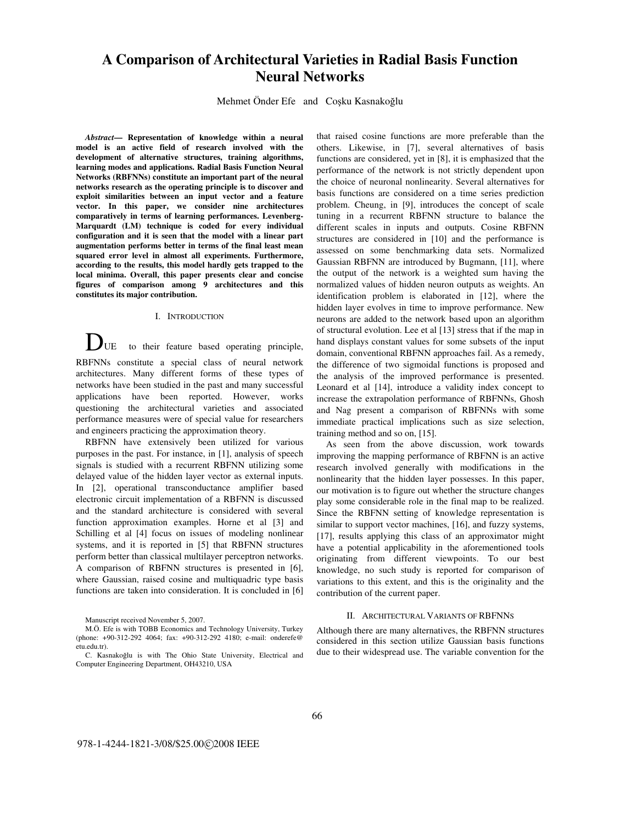# **A Comparison of Architectural Varieties in Radial Basis Function Neural Networks**

Mehmet Önder Efe and Coşku Kasnakoğlu

*Abstract***— Representation of knowledge within a neural model is an active field of research involved with the development of alternative structures, training algorithms, learning modes and applications. Radial Basis Function Neural Networks (RBFNNs) constitute an important part of the neural networks research as the operating principle is to discover and exploit similarities between an input vector and a feature vector. In this paper, we consider nine architectures comparatively in terms of learning performances. Levenberg-Marquardt (LM) technique is coded for every individual configuration and it is seen that the model with a linear part augmentation performs better in terms of the final least mean squared error level in almost all experiments. Furthermore, according to the results, this model hardly gets trapped to the local minima. Overall, this paper presents clear and concise figures of comparison among 9 architectures and this constitutes its major contribution.**

## I. INTRODUCTION

UE to their feature based operating principle, RBFNNs constitute a special class of neural network architectures. Many different forms of these types of networks have been studied in the past and many successful applications have been reported. However, works questioning the architectural varieties and associated performance measures were of special value for researchers and engineers practicing the approximation theory.

RBFNN have extensively been utilized for various purposes in the past. For instance, in [1], analysis of speech signals is studied with a recurrent RBFNN utilizing some delayed value of the hidden layer vector as external inputs. In [2], operational transconductance amplifier based electronic circuit implementation of a RBFNN is discussed and the standard architecture is considered with several function approximation examples. Horne et al [3] and Schilling et al [4] focus on issues of modeling nonlinear systems, and it is reported in [5] that RBFNN structures perform better than classical multilayer perceptron networks. A comparison of RBFNN structures is presented in [6], where Gaussian, raised cosine and multiquadric type basis functions are taken into consideration. It is concluded in [6]

that raised cosine functions are more preferable than the others. Likewise, in [7], several alternatives of basis functions are considered, yet in [8], it is emphasized that the performance of the network is not strictly dependent upon the choice of neuronal nonlinearity. Several alternatives for basis functions are considered on a time series prediction problem. Cheung, in [9], introduces the concept of scale tuning in a recurrent RBFNN structure to balance the different scales in inputs and outputs. Cosine RBFNN structures are considered in [10] and the performance is assessed on some benchmarking data sets. Normalized Gaussian RBFNN are introduced by Bugmann, [11], where the output of the network is a weighted sum having the normalized values of hidden neuron outputs as weights. An identification problem is elaborated in [12], where the hidden layer evolves in time to improve performance. New neurons are added to the network based upon an algorithm of structural evolution. Lee et al [13] stress that if the map in hand displays constant values for some subsets of the input domain, conventional RBFNN approaches fail. As a remedy, the difference of two sigmoidal functions is proposed and the analysis of the improved performance is presented. Leonard et al [14], introduce a validity index concept to increase the extrapolation performance of RBFNNs, Ghosh and Nag present a comparison of RBFNNs with some immediate practical implications such as size selection, training method and so on, [15].

As seen from the above discussion, work towards improving the mapping performance of RBFNN is an active research involved generally with modifications in the nonlinearity that the hidden layer possesses. In this paper, our motivation is to figure out whether the structure changes play some considerable role in the final map to be realized. Since the RBFNN setting of knowledge representation is similar to support vector machines, [16], and fuzzy systems, [17], results applying this class of an approximator might have a potential applicability in the aforementioned tools originating from different viewpoints. To our best knowledge, no such study is reported for comparison of variations to this extent, and this is the originality and the contribution of the current paper.

#### II. ARCHITECTURAL VARIANTS OF RBFNNS

Although there are many alternatives, the RBFNN structures considered in this section utilize Gaussian basis functions due to their widespread use. The variable convention for the

Manuscript received November 5, 2007.

M.Ö. Efe is with TOBB Economics and Technology University, Turkey (phone: +90-312-292 4064; fax: +90-312-292 4180; e-mail: onderefe@ etu.edu.tr).

C. Kasnakoğlu is with The Ohio State University, Electrical and Computer Engineering Department, OH43210, USA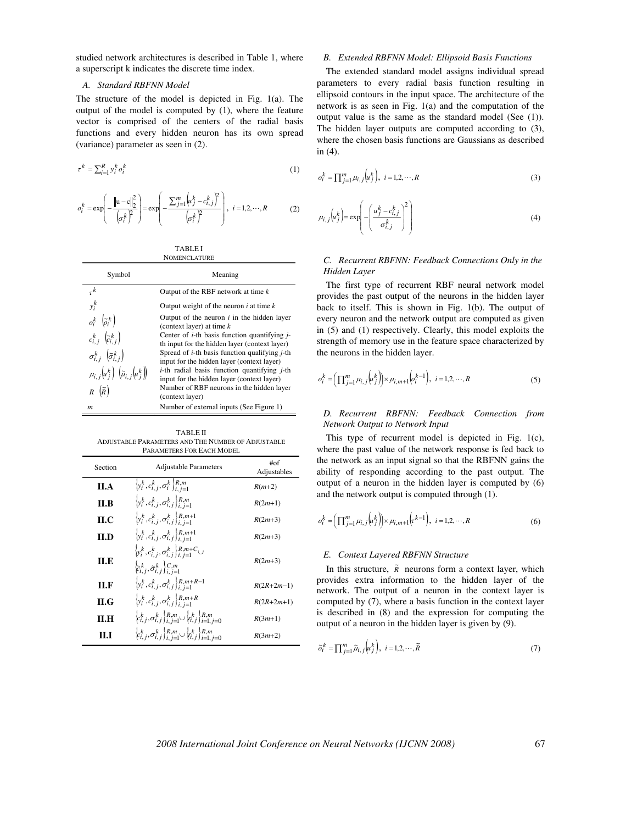studied network architectures is described in Table 1, where a superscript k indicates the discrete time index.

# *A. Standard RBFNN Model*

The structure of the model is depicted in Fig. 1(a). The output of the model is computed by (1), where the feature vector is comprised of the centers of the radial basis functions and every hidden neuron has its own spread (variance) parameter as seen in (2).

$$
\tau^k = \sum_{i=1}^R y_i^k o_i^k \tag{1}
$$

$$
o_i^k = \exp\left(-\frac{\left\|\mathbf{u} - \mathbf{c}\right\|_2^2}{\left(\sigma_i^k\right)^2}\right) = \exp\left(-\frac{\sum_{j=1}^m \left(u_j^k - c_{i,j}^k\right)^2}{\left(\sigma_i^k\right)^2}\right), \quad i = 1, 2, \cdots, R
$$
 (2)

TABLE I **NOMENCLATURE** 

| Symbol                                                                               | Meaning                                                                                                                                                 |
|--------------------------------------------------------------------------------------|---------------------------------------------------------------------------------------------------------------------------------------------------------|
| $\tau^k$                                                                             | Output of the RBF network at time $k$                                                                                                                   |
| $v_i^k$                                                                              | Output weight of the neuron $i$ at time $k$                                                                                                             |
| $o_i^k$ $\left(\tilde{o}_i^k\right)$<br>$c_{i,j}^k$ $\left(\tilde{c}_{i,j}^k\right)$ | Output of the neuron $i$ in the hidden layer<br>(context layer) at time $k$<br>Center of $i$ -th basis function quantifying $j$ -                       |
| $\sigma_{i,j}^k$ $(\tilde{\sigma}_{i,j}^k)$                                          | th input for the hidden layer (context layer)<br>Spread of <i>i</i> -th basis function qualifying <i>j</i> -th                                          |
| $\mu_{i,j}(\mu_j^k)$ $(\tilde{\mu}_{i,j}(\mu_j^k))$                                  | input for the hidden layer (context layer)<br><i>i</i> -th radial basis function quantifying <i>j</i> -th<br>input for the hidden layer (context layer) |
| $R\left(\widetilde{R}\right)$                                                        | Number of RBF neurons in the hidden layer<br>(context layer)                                                                                            |
| m                                                                                    | Number of external inputs (See Figure 1)                                                                                                                |

TABLE II ADJUSTABLE PARAMETERS AND THE NUMBER OF ADJUSTABLE PARAMETERS FOR EACH MODEL

| Section | <b>Adjustable Parameters</b>                                                                                                                            | #of<br>Adjustables |
|---------|---------------------------------------------------------------------------------------------------------------------------------------------------------|--------------------|
| II.A    | $\left\{ y_i^k, c_{i,j}^k, \sigma_i^k \right\}_{i,j=1}^{R,m}$                                                                                           | $R(m+2)$           |
| II.B    | $\{y_i^k, c_{i,j}^k, \sigma_{i,j}^k\}_{i=1}^{R,m}$                                                                                                      | $R(2m+1)$          |
| II.C    | $\{y_i^k, c_{i,j}^k, \sigma_{i,j}^k\}_{i=1}^{R,m+1}$                                                                                                    | $R(2m+3)$          |
| II.D    | $\left\{ y_i^k, c_{i,j}^k, \sigma_{i,j}^k \right\}_{i=1}^{R,m+1}$                                                                                       | $R(2m+3)$          |
| ILE     | $\left\{ y_i^k, c_{i,j}^k, \sigma_{i,j}^k \right\}_{i,j=1}^{R,m+C}$<br>$\left\{\widetilde{c}_{i}^{k}, \widetilde{\sigma}_{i,j}^{k}\right\}_{i=1}^{C,m}$ | $R(2m+3)$          |
| H.F     | $\{y_i^k, c_{i,j}^k, \sigma_{i,j}^k\}_{i=1}^{R,m+R-1}$                                                                                                  | $R(2R+2m-1)$       |
| II.G    | $\left\{ y_i^k, c_{i,j}^k, \sigma_{i,j}^k \right\}$ $\left\{ R, m+R \atop i \neq j \right\}$                                                            | $R(2R+2m+1)$       |
| II.H    | $\left\{c_{i,j}^k, \sigma_{i,j}^k\right\}_{i=1}^{R,m} \cup \left\{c_{i,j}^k\right\}_{i=1, j=0}^{R,m}$                                                   | $R(3m+1)$          |
| II.I    | $\left\{k_{i,j}, \sigma_{i,j}^k\right\}_{i,j=1}^{R,m} \cup \left\{k_{i,j}\right\}_{i=1, j=0}^{R,m}$                                                     | $R(3m+2)$          |

# *B. Extended RBFNN Model: Ellipsoid Basis Functions*

The extended standard model assigns individual spread parameters to every radial basis function resulting in ellipsoid contours in the input space. The architecture of the network is as seen in Fig. 1(a) and the computation of the output value is the same as the standard model (See (1)). The hidden layer outputs are computed according to (3), where the chosen basis functions are Gaussians as described in (4).

$$
o_i^k = \prod_{j=1}^m \mu_{i,j} \left( \mu_j^k \right), \ i = 1, 2, \cdots, R
$$
 (3)

$$
\mu_{i,j}\left(\mu_j^k\right) = \exp\left(-\left(\frac{u_j^k - c_{i,j}^k}{\sigma_{i,j}^k}\right)^2\right) \tag{4}
$$

# *C. Recurrent RBFNN: Feedback Connections Only in the Hidden Layer*

The first type of recurrent RBF neural network model provides the past output of the neurons in the hidden layer back to itself. This is shown in Fig. 1(b). The output of every neuron and the network output are computed as given in (5) and (1) respectively. Clearly, this model exploits the strength of memory use in the feature space characterized by the neurons in the hidden layer.

$$
o_i^k = \left(\prod_{j=1}^m \mu_{i,j} \left(\mu_j^k\right)\right) \times \mu_{i,m+1} \left(o_i^{k-1}\right), \ i = 1, 2, \cdots, R
$$
 (5)

*D. Recurrent RBFNN: Feedback Connection from Network Output to Network Input*

This type of recurrent model is depicted in Fig. 1(c), where the past value of the network response is fed back to the network as an input signal so that the RBFNN gains the ability of responding according to the past output. The output of a neuron in the hidden layer is computed by (6) and the network output is computed through (1).

$$
o_i^k = \left(\prod_{j=1}^m \mu_{i,j} \left( u_j^k \right) \right) \times \mu_{i,m+1} \left( \tau^{k-1} \right), \ i = 1, 2, \cdots, R
$$
 (6)

# *E. Context Layered RBFNN Structure*

In this structure,  $\tilde{R}$  neurons form a context layer, which provides extra information to the hidden layer of the network. The output of a neuron in the context layer is computed by (7), where a basis function in the context layer is described in (8) and the expression for computing the output of a neuron in the hidden layer is given by (9).

$$
\tilde{o}_i^k = \prod_{j=1}^m \tilde{\mu}_{i,j} \left( u_j^k \right), \ i = 1, 2, \cdots, \tilde{R} \tag{7}
$$

*2008 International Joint Conference on Neural Networks (IJCNN 2008)* 67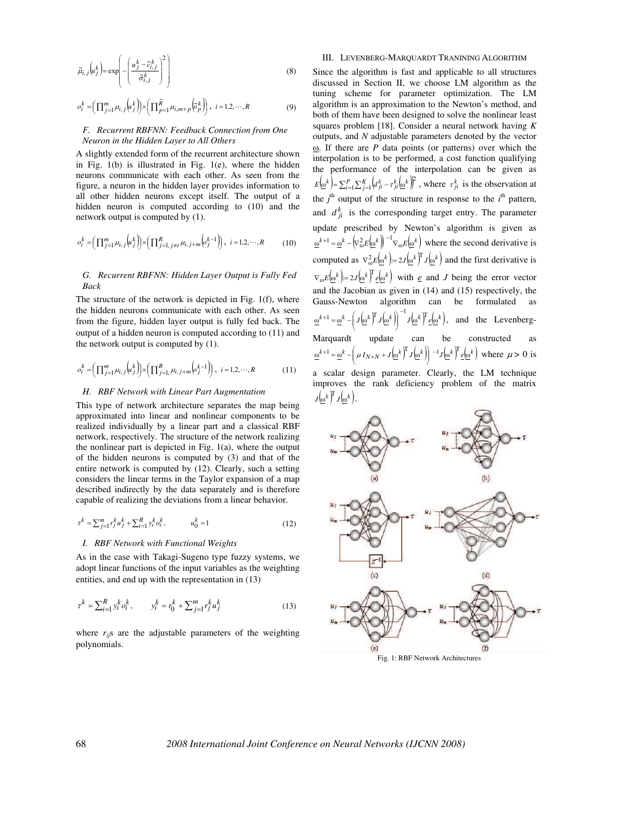$$
\widetilde{\mu}_{i,j}\left(\mu_j^k\right) = \exp\left(-\left(\frac{u_j^k - \widetilde{c}_{i,j}^k}{\widetilde{\sigma}_{i,j}^k}\right)^2\right) \tag{8}
$$

$$
o_i^k = \left(\prod_{j=1}^m \mu_{i,j} \left(\mu_j^k\right)\right) \times \left(\prod_{p=1}^{\tilde{R}} \mu_{i,m+p} \left(\tilde{o}_p^k\right)\right), \ i = 1, 2, \cdots, R
$$
 (9)

# *F. Recurrent RBFNN: Feedback Connection from One Neuron in the Hidden Layer to All Others*

A slightly extended form of the recurrent architecture shown in Fig. 1(b) is illustrated in Fig. 1(e), where the hidden neurons communicate with each other. As seen from the figure, a neuron in the hidden layer provides information to all other hidden neurons except itself. The output of a hidden neuron is computed according to (10) and the network output is computed by (1).

$$
o_i^k = \left( \prod_{j=1}^m \mu_{i,j} \left( u_j^k \right) \right) \times \left( \prod_{j=1, j \neq i}^R \mu_{i,j+m} \left( o_j^{k-1} \right) \right), \ i = 1, 2, \cdots, R
$$
 (10)

# *G. Recurrent RBFNN: Hidden Layer Output is Fully Fed Back*

The structure of the network is depicted in Fig. 1(f), where the hidden neurons communicate with each other. As seen from the figure, hidden layer output is fully fed back. The output of a hidden neuron is computed according to (11) and the network output is computed by (1).

$$
o_i^k = \left( \prod_{j=1}^m \mu_{i,j} \left( u_j^k \right) \right) \times \left( \prod_{j=1}^R \mu_{i,j+m} \left( o_j^{k-1} \right) \right), \ i = 1, 2, \cdots, R \tag{11}
$$

#### *H. RBF Network with Linear Part Augmentation*

This type of network architecture separates the map being approximated into linear and nonlinear components to be realized individually by a linear part and a classical RBF network, respectively. The structure of the network realizing the nonlinear part is depicted in Fig. 1(a), where the output of the hidden neurons is computed by (3) and that of the entire network is computed by (12). Clearly, such a setting considers the linear terms in the Taylor expansion of a map described indirectly by the data separately and is therefore capable of realizing the deviations from a linear behavior.

$$
\tau^{k} = \sum_{j=1}^{m} r_{j}^{k} u_{j}^{k} + \sum_{i=1}^{R} y_{i}^{k} o_{i}^{k}, \qquad u_{0}^{k} = 1
$$
\n(12)

### *I. RBF Network with Functional Weights*

As in the case with Takagi-Sugeno type fuzzy systems, we adopt linear functions of the input variables as the weighting entities, and end up with the representation in (13)

$$
\tau^{k} = \sum_{i=1}^{R} y_{i}^{k} o_{i}^{k}, \qquad y_{i}^{k} = r_{0}^{k} + \sum_{j=1}^{m} r_{j}^{k} u_{j}^{k}
$$
(13)

where  $r_{ij}$ s are the adjustable parameters of the weighting polynomials.

## III. LEVENBERG-MARQUARDT TRANINING ALGORITHM

Since the algorithm is fast and applicable to all structures discussed in Section II, we choose LM algorithm as the tuning scheme for parameter optimization. The LM algorithm is an approximation to the Newton's method, and both of them have been designed to solve the nonlinear least squares problem [18]. Consider a neural network having *K* outputs, and *N* adjustable parameters denoted by the vector  $\underline{\omega}$ . If there are *P* data points (or patterns) over which the interpolation is to be performed, a cost function qualifying the performance of the interpolation can be given as  $E(\omega^k) = \sum_{i=1}^P \sum_{j=1}^K \left( d_{ji}^k - \tau_{ji}^k(\omega^k) \right)^2$ , where  $\tau_{ji}^k$  is the observation at the  $j^{\text{th}}$  output of the structure in response to the  $i^{\text{th}}$  pattern, and  $d_{ii}^k$  is the corresponding target entry. The parameter update prescribed by Newton's algorithm is given as  $\omega^{k+1} = \omega^k - \left(\nabla^2_{\omega} E\left(\omega^k\right)\right)^{-1} \nabla_{\omega} E\left(\omega^k\right)$  where the second derivative is computed as  $\nabla_{\omega}^2 E(\omega^k) = 2J(\omega^k)^\text{T} J(\omega^k)$  and the first derivative is  $\nabla_{\omega} E(\omega^k) = 2J(\omega^k)^T e(\omega^k)$  with *e* and *J* being the error vector and the Jacobian as given in (14) and (15) respectively, the Gauss-Newton algorithm can be formulated as  $\underline{\omega}^{k+1} = \underline{\omega}^k - \left( J \left( \underline{\omega}^k \right)^{\!\! \text{T}} J \left( \underline{\omega}^k \right) \right)^{-1} J \left( \underline{\omega}^k \right)^{\!\! \text{T}} \underline{e} \left( \underline{\omega}^k \right)$  $=\underline{\omega}^k - \left(J(\underline{\omega}^k)^T J(\underline{\omega}^k)\right)^{-1} J(\underline{\omega}^k)^T \underline{e}(\underline{\omega}^k)$ , and the Levenberg-Marquardt update can be constructed  $\omega^{k+1} = \omega^k - \left(\mu I_{N \times N} + J\left(\omega^k\right)^\text{T} J\left(\omega^k\right)\right) - \frac{1}{2} J\left(\omega^k\right)^\text{T} e\left(\omega^k\right)$  $=\underline{\omega}^{k} - \left(\mu I_{N\times N} + J(\underline{\omega}^{k})\right)^{T} J(\underline{\omega}^{k})\right)^{-1} J(\underline{\omega}^{k})^{T} \underline{e}(\underline{\omega}^{k})$  where  $\mu > 0$  is a scalar design parameter. Clearly, the LM technique improves the rank deficiency problem of the matrix

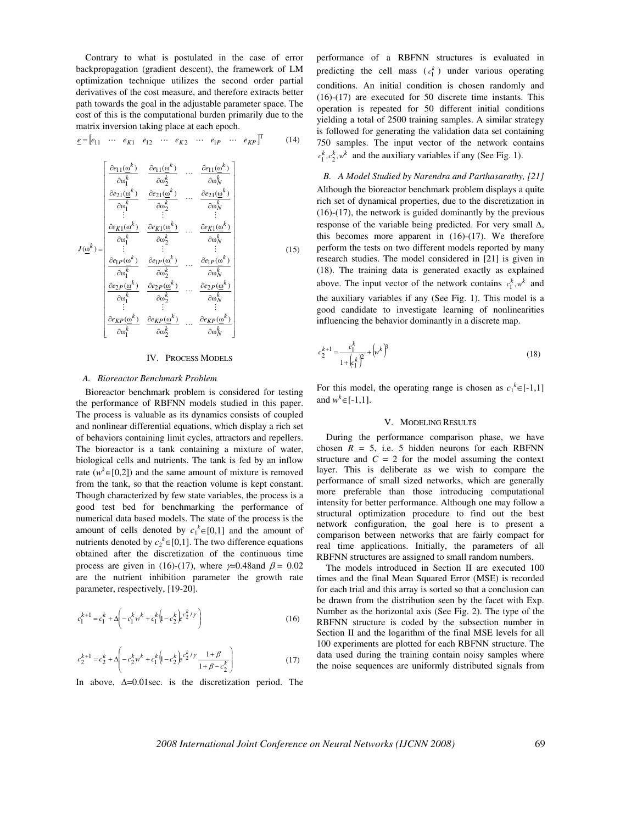Contrary to what is postulated in the case of error backpropagation (gradient descent), the framework of LM optimization technique utilizes the second order partial derivatives of the cost measure, and therefore extracts better path towards the goal in the adjustable parameter space. The cost of this is the computational burden primarily due to the matrix inversion taking place at each epoch.

$$
\underline{e} = \begin{bmatrix} e_{11} & \cdots & e_{K1} & e_{12} & \cdots & e_{K2} & \cdots & e_{1P} & \cdots & e_{KP} \end{bmatrix}^{\mathrm{T}} \tag{14}
$$

$$
J(\underline{\omega}^{k}) = \begin{bmatrix} \frac{\partial e_{11}(\underline{\omega}^{k})}{\partial \omega_{1}^{k}} & \frac{\partial e_{11}(\underline{\omega}^{k})}{\partial \omega_{2}^{k}} & \cdots & \frac{\partial e_{11}(\underline{\omega}^{k})}{\partial \omega_{N}^{k}}\\ \frac{\partial e_{21}(\underline{\omega}^{k})}{\partial \omega_{1}^{k}} & \frac{\partial e_{21}(\underline{\omega}^{k})}{\partial \omega_{2}^{k}} & \cdots & \frac{\partial e_{21}(\underline{\omega}^{k})}{\partial \omega_{N}^{k}}\\ \vdots & \vdots & \vdots & \vdots\\ \frac{\partial e_{K1}(\underline{\omega}^{k})}{\partial \omega_{1}^{k}} & \frac{\partial e_{K1}(\underline{\omega}^{k})}{\partial \omega_{2}^{k}} & \cdots & \frac{\partial e_{K1}(\underline{\omega}^{k})}{\partial \omega_{N}^{k}}\\ \vdots & \vdots & \vdots & \vdots\\ \frac{\partial e_{1P}(\underline{\omega}^{k})}{\partial \omega_{1}^{k}} & \frac{\partial e_{1P}(\underline{\omega}^{k})}{\partial \omega_{2}^{k}} & \cdots & \frac{\partial e_{1P}(\underline{\omega}^{k})}{\partial \omega_{N}^{k}}\\ \frac{\partial e_{2P}(\underline{\omega}^{k})}{\partial \omega_{1}^{k}} & \frac{\partial e_{2P}(\underline{\omega}^{k})}{\partial \omega_{2}^{k}} & \cdots & \frac{\partial e_{2P}(\underline{\omega}^{k})}{\partial \omega_{N}^{k}}\\ \vdots & \vdots & \vdots\\ \frac{\partial e_{KP}(\underline{\omega}^{k})}{\partial \omega_{1}^{k}} & \frac{\partial e_{KP}(\underline{\omega}^{k})}{\partial \omega_{2}^{k}} & \cdots & \frac{\partial e_{KP}(\underline{\omega}^{k})}{\partial \omega_{N}^{k}} \end{bmatrix}
$$
(15)

#### IV. PROCESS MODELS

## *A. Bioreactor Benchmark Problem*

Bioreactor benchmark problem is considered for testing the performance of RBFNN models studied in this paper. The process is valuable as its dynamics consists of coupled and nonlinear differential equations, which display a rich set of behaviors containing limit cycles, attractors and repellers. The bioreactor is a tank containing a mixture of water, biological cells and nutrients. The tank is fed by an inflow rate  $(w^k \in [0,2])$  and the same amount of mixture is removed from the tank, so that the reaction volume is kept constant. Though characterized by few state variables, the process is a good test bed for benchmarking the performance of numerical data based models. The state of the process is the amount of cells denoted by  $c_1^k \in [0,1]$  and the amount of nutrients denoted by  $c_2^k \in [0,1]$ . The two difference equations obtained after the discretization of the continuous time process are given in (16)-(17), where  $\gamma$ =0.48and  $\beta$  = 0.02 are the nutrient inhibition parameter the growth rate parameter, respectively, [19-20].

$$
c_1^{k+1} = c_1^k + \Delta \left( -c_1^k w^k + c_1^k \left( 1 - c_2^k \right) e^{c_2^k / \gamma} \right)
$$
 (16)

$$
c_2^{k+1} = c_2^k + \Delta \left( -c_2^k w^k + c_1^k \left( 1 - c_2^k \right) e^{c_2^k / \gamma} \frac{1 + \beta}{1 + \beta - c_2^k} \right) \tag{17}
$$

In above,  $\Delta=0.01$  sec. is the discretization period. The

performance of a RBFNN structures is evaluated in predicting the cell mass  $(c_1^k)$  under various operating conditions. An initial condition is chosen randomly and (16)-(17) are executed for 50 discrete time instants. This operation is repeated for 50 different initial conditions yielding a total of 2500 training samples. A similar strategy is followed for generating the validation data set containing 750 samples. The input vector of the network contains  $c_1^k$ ,  $c_2^k$ ,  $w^k$  and the auxiliary variables if any (See Fig. 1).

*B. A Model Studied by Narendra and Parthasarathy, [21]* Although the bioreactor benchmark problem displays a quite rich set of dynamical properties, due to the discretization in (16)-(17), the network is guided dominantly by the previous response of the variable being predicted. For very small  $\Delta$ , this becomes more apparent in  $(16)-(17)$ . We therefore perform the tests on two different models reported by many research studies. The model considered in [21] is given in (18). The training data is generated exactly as explained above. The input vector of the network contains  $c_1^k, w^k$  and the auxiliary variables if any (See Fig. 1). This model is a good candidate to investigate learning of nonlinearities influencing the behavior dominantly in a discrete map.

$$
c_2^{k+1} = \frac{c_1^k}{1 + \left(c_1^k\right)^2} + \left(w^k\right)^3\tag{18}
$$

For this model, the operating range is chosen as  $c_1^k \in [-1,1]$ and  $w^k \in [-1,1]$ .

## V. MODELING RESULTS

During the performance comparison phase, we have chosen  $R = 5$ , i.e. 5 hidden neurons for each RBFNN structure and  $C = 2$  for the model assuming the context layer. This is deliberate as we wish to compare the performance of small sized networks, which are generally more preferable than those introducing computational intensity for better performance. Although one may follow a structural optimization procedure to find out the best network configuration, the goal here is to present a comparison between networks that are fairly compact for real time applications. Initially, the parameters of all RBFNN structures are assigned to small random numbers.

The models introduced in Section II are executed 100 times and the final Mean Squared Error (MSE) is recorded for each trial and this array is sorted so that a conclusion can be drawn from the distribution seen by the facet with Exp. Number as the horizontal axis (See Fig. 2). The type of the RBFNN structure is coded by the subsection number in Section II and the logarithm of the final MSE levels for all 100 experiments are plotted for each RBFNN structure. The data used during the training contain noisy samples where the noise sequences are uniformly distributed signals from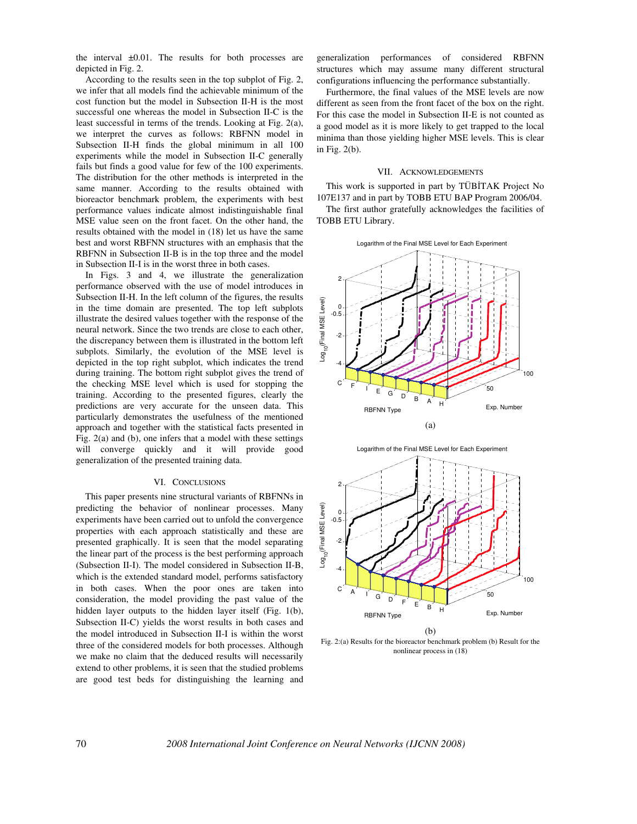the interval  $\pm 0.01$ . The results for both processes are depicted in Fig. 2.

According to the results seen in the top subplot of Fig. 2, we infer that all models find the achievable minimum of the cost function but the model in Subsection II-H is the most successful one whereas the model in Subsection II-C is the least successful in terms of the trends. Looking at Fig. 2(a), we interpret the curves as follows: RBFNN model in Subsection II-H finds the global minimum in all 100 experiments while the model in Subsection II-C generally fails but finds a good value for few of the 100 experiments. The distribution for the other methods is interpreted in the same manner. According to the results obtained with bioreactor benchmark problem, the experiments with best performance values indicate almost indistinguishable final MSE value seen on the front facet. On the other hand, the results obtained with the model in (18) let us have the same best and worst RBFNN structures with an emphasis that the RBFNN in Subsection II-B is in the top three and the model in Subsection II-I is in the worst three in both cases.

In Figs. 3 and 4, we illustrate the generalization performance observed with the use of model introduces in Subsection II-H. In the left column of the figures, the results in the time domain are presented. The top left subplots illustrate the desired values together with the response of the neural network. Since the two trends are close to each other, the discrepancy between them is illustrated in the bottom left subplots. Similarly, the evolution of the MSE level is depicted in the top right subplot, which indicates the trend during training. The bottom right subplot gives the trend of the checking MSE level which is used for stopping the training. According to the presented figures, clearly the predictions are very accurate for the unseen data. This particularly demonstrates the usefulness of the mentioned approach and together with the statistical facts presented in Fig. 2(a) and (b), one infers that a model with these settings will converge quickly and it will provide good generalization of the presented training data.

## VI. CONCLUSIONS

This paper presents nine structural variants of RBFNNs in predicting the behavior of nonlinear processes. Many experiments have been carried out to unfold the convergence properties with each approach statistically and these are presented graphically. It is seen that the model separating the linear part of the process is the best performing approach (Subsection II-I). The model considered in Subsection II-B, which is the extended standard model, performs satisfactory in both cases. When the poor ones are taken into consideration, the model providing the past value of the hidden layer outputs to the hidden layer itself (Fig. 1(b), Subsection II-C) yields the worst results in both cases and the model introduced in Subsection II-I is within the worst three of the considered models for both processes. Although we make no claim that the deduced results will necessarily extend to other problems, it is seen that the studied problems are good test beds for distinguishing the learning and generalization performances of considered RBFNN structures which may assume many different structural configurations influencing the performance substantially.

Furthermore, the final values of the MSE levels are now different as seen from the front facet of the box on the right. For this case the model in Subsection II-E is not counted as a good model as it is more likely to get trapped to the local minima than those yielding higher MSE levels. This is clear in Fig. 2(b).

## VII. ACKNOWLEDGEMENTS

This work is supported in part by TÜBTAK Project No 107E137 and in part by TOBB ETU BAP Program 2006/04.

The first author gratefully acknowledges the facilities of TOBB ETU Library.





Fig. 2:(a) Results for the bioreactor benchmark problem (b) Result for the nonlinear process in (18)

70 *2008 International Joint Conference on Neural Networks (IJCNN 2008)*